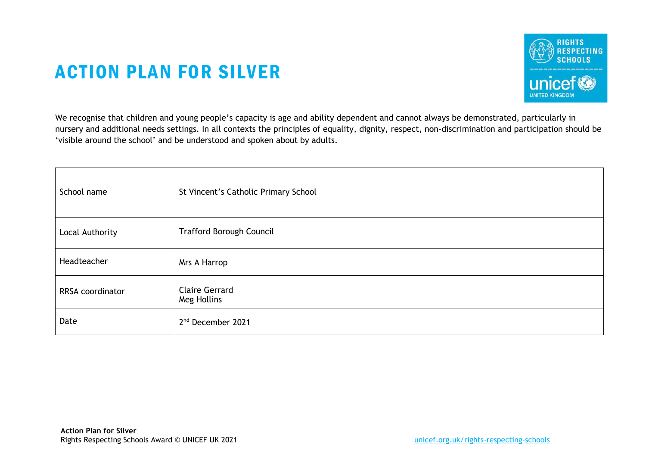## ACTION PLAN FOR SILVER



We recognise that children and young people's capacity is age and ability dependent and cannot always be demonstrated, particularly in nursery and additional needs settings. In all contexts the principles of equality, dignity, respect, non-discrimination and participation should be 'visible around the school' and be understood and spoken about by adults.

| School name      | St Vincent's Catholic Primary School |
|------------------|--------------------------------------|
| Local Authority  | <b>Trafford Borough Council</b>      |
| Headteacher      | Mrs A Harrop                         |
| RRSA coordinator | <b>Claire Gerrard</b><br>Meg Hollins |
| Date             | 2 <sup>nd</sup> December 2021        |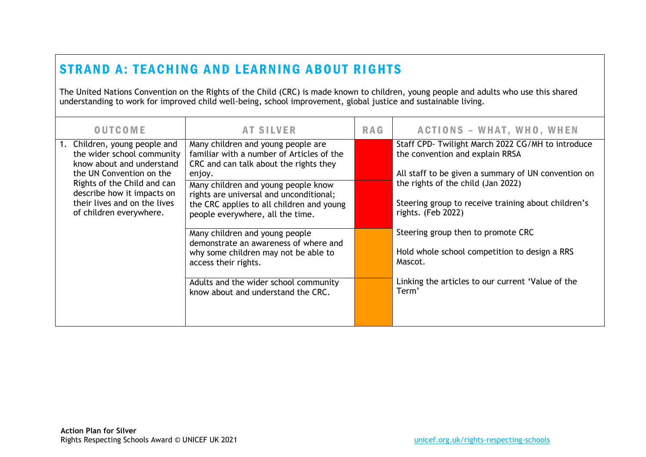## STRAND A: TEACHING AND LEARNING ABOUT RIGHTS

The United Nations Convention on the Rights of the Child (CRC) is made known to children, young people and adults who use this shared understanding to work for improved child well-being, school improvement, global justice and sustainable living.

| <b>OUTCOME</b>                                                                        | <b>AT SILVER</b>                                                                                                         | <b>RAG</b> | <b>ACTIONS - WHAT, WHO, WHEN</b>                                          |
|---------------------------------------------------------------------------------------|--------------------------------------------------------------------------------------------------------------------------|------------|---------------------------------------------------------------------------|
| 1. Children, young people and                                                         | Many children and young people are                                                                                       |            | Staff CPD- Twilight March 2022 CG/MH to introduce                         |
| the wider school community<br>know about and understand                               | familiar with a number of Articles of the<br>CRC and can talk about the rights they                                      |            | the convention and explain RRSA                                           |
| the UN Convention on the                                                              | enjoy.                                                                                                                   |            | All staff to be given a summary of UN convention on                       |
| Rights of the Child and can                                                           | Many children and young people know                                                                                      |            | the rights of the child (Jan 2022)                                        |
| describe how it impacts on<br>their lives and on the lives<br>of children everywhere. | rights are universal and unconditional;<br>the CRC applies to all children and young<br>people everywhere, all the time. |            | Steering group to receive training about children's<br>rights. (Feb 2022) |
|                                                                                       | Many children and young people                                                                                           |            | Steering group then to promote CRC                                        |
|                                                                                       | demonstrate an awareness of where and<br>why some children may not be able to<br>access their rights.                    |            | Hold whole school competition to design a RRS<br>Mascot.                  |
|                                                                                       | Adults and the wider school community<br>know about and understand the CRC.                                              |            | Linking the articles to our current 'Value of the<br>Term'                |
|                                                                                       |                                                                                                                          |            |                                                                           |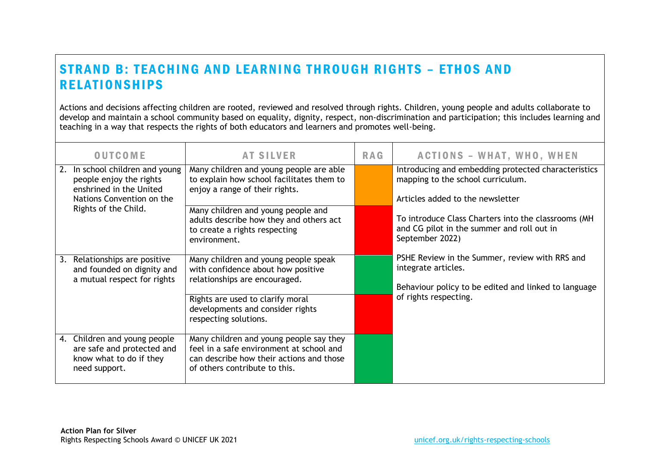## STRAND B: TEACHING AND LEARNING THROUGH RIGHTS - ETHOS AND **RELATIONSHIPS**

Actions and decisions affecting children are rooted, reviewed and resolved through rights. Children, young people and adults collaborate to develop and maintain a school community based on equality, dignity, respect, non-discrimination and participation; this includes learning and teaching in a way that respects the rights of both educators and learners and promotes well-being.

| <b>OUTCOME</b>                                                                                                        | <b>AT SILVER</b>                                                                                                                                                 | <b>RAG</b> | <b>ACTIONS - WHAT, WHO, WHEN</b>                                                                                              |
|-----------------------------------------------------------------------------------------------------------------------|------------------------------------------------------------------------------------------------------------------------------------------------------------------|------------|-------------------------------------------------------------------------------------------------------------------------------|
| In school children and young<br>2.<br>people enjoy the rights<br>enshrined in the United<br>Nations Convention on the | Many children and young people are able<br>to explain how school facilitates them to<br>enjoy a range of their rights.                                           |            | Introducing and embedding protected characteristics<br>mapping to the school curriculum.<br>Articles added to the newsletter  |
| Rights of the Child.                                                                                                  | Many children and young people and<br>adults describe how they and others act<br>to create a rights respecting<br>environment.                                   |            | To introduce Class Charters into the classrooms (MH<br>and CG pilot in the summer and roll out in<br>September 2022)          |
| Relationships are positive<br>3.<br>and founded on dignity and<br>a mutual respect for rights                         | Many children and young people speak<br>with confidence about how positive<br>relationships are encouraged.                                                      |            | PSHE Review in the Summer, review with RRS and<br>integrate articles.<br>Behaviour policy to be edited and linked to language |
|                                                                                                                       | Rights are used to clarify moral<br>developments and consider rights<br>respecting solutions.                                                                    |            | of rights respecting.                                                                                                         |
| 4. Children and young people<br>are safe and protected and<br>know what to do if they<br>need support.                | Many children and young people say they<br>feel in a safe environment at school and<br>can describe how their actions and those<br>of others contribute to this. |            |                                                                                                                               |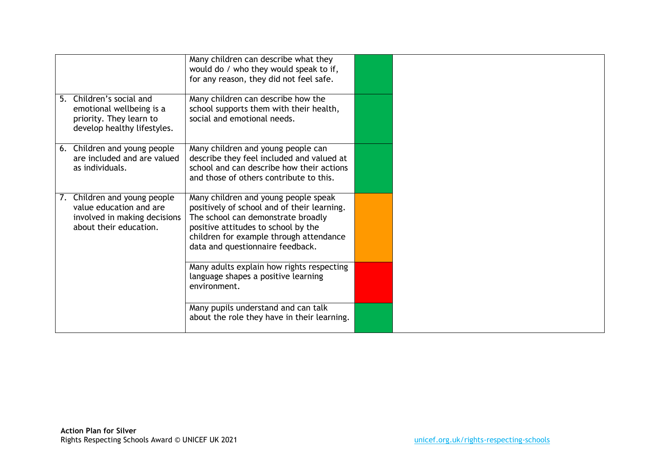|                                                                                                                   | Many children can describe what they<br>would do / who they would speak to if,<br>for any reason, they did not feel safe.                                                                                                                       |  |
|-------------------------------------------------------------------------------------------------------------------|-------------------------------------------------------------------------------------------------------------------------------------------------------------------------------------------------------------------------------------------------|--|
| 5. Children's social and<br>emotional wellbeing is a<br>priority. They learn to<br>develop healthy lifestyles.    | Many children can describe how the<br>school supports them with their health,<br>social and emotional needs.                                                                                                                                    |  |
| 6. Children and young people<br>are included and are valued<br>as individuals.                                    | Many children and young people can<br>describe they feel included and valued at<br>school and can describe how their actions<br>and those of others contribute to this.                                                                         |  |
| 7. Children and young people<br>value education and are<br>involved in making decisions<br>about their education. | Many children and young people speak<br>positively of school and of their learning.<br>The school can demonstrate broadly<br>positive attitudes to school by the<br>children for example through attendance<br>data and questionnaire feedback. |  |
|                                                                                                                   | Many adults explain how rights respecting<br>language shapes a positive learning<br>environment.                                                                                                                                                |  |
|                                                                                                                   | Many pupils understand and can talk<br>about the role they have in their learning.                                                                                                                                                              |  |